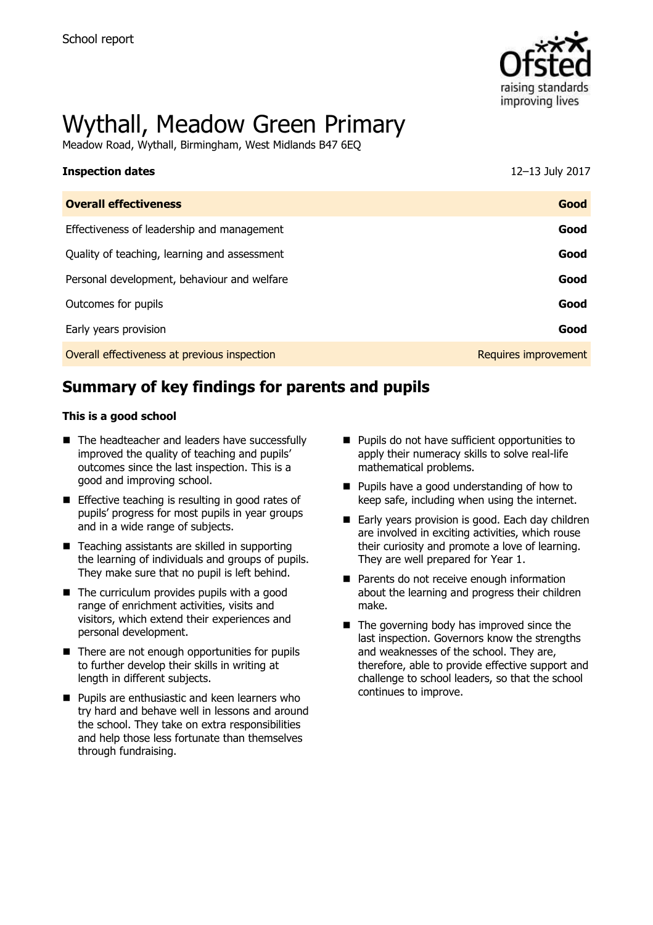

# Wythall, Meadow Green Primary

Meadow Road, Wythall, Birmingham, West Midlands B47 6EQ

| <b>Inspection dates</b>                      | 12-13 July 2017      |
|----------------------------------------------|----------------------|
| <b>Overall effectiveness</b>                 | Good                 |
| Effectiveness of leadership and management   | Good                 |
| Quality of teaching, learning and assessment | Good                 |
| Personal development, behaviour and welfare  | Good                 |
| Outcomes for pupils                          | Good                 |
| Early years provision                        | Good                 |
| Overall effectiveness at previous inspection | Requires improvement |

# **Summary of key findings for parents and pupils**

#### **This is a good school**

- The headteacher and leaders have successfully improved the quality of teaching and pupils' outcomes since the last inspection. This is a good and improving school.
- **Effective teaching is resulting in good rates of** pupils' progress for most pupils in year groups and in a wide range of subjects.
- $\blacksquare$  Teaching assistants are skilled in supporting the learning of individuals and groups of pupils. They make sure that no pupil is left behind.
- $\blacksquare$  The curriculum provides pupils with a good range of enrichment activities, visits and visitors, which extend their experiences and personal development.
- $\blacksquare$  There are not enough opportunities for pupils to further develop their skills in writing at length in different subjects.
- **Pupils are enthusiastic and keen learners who** try hard and behave well in lessons and around the school. They take on extra responsibilities and help those less fortunate than themselves through fundraising.
- **Pupils do not have sufficient opportunities to** apply their numeracy skills to solve real-life mathematical problems.
- **Pupils have a good understanding of how to** keep safe, including when using the internet.
- Early years provision is good. Each day children are involved in exciting activities, which rouse their curiosity and promote a love of learning. They are well prepared for Year 1.
- Parents do not receive enough information about the learning and progress their children make.
- $\blacksquare$  The governing body has improved since the last inspection. Governors know the strengths and weaknesses of the school. They are, therefore, able to provide effective support and challenge to school leaders, so that the school continues to improve.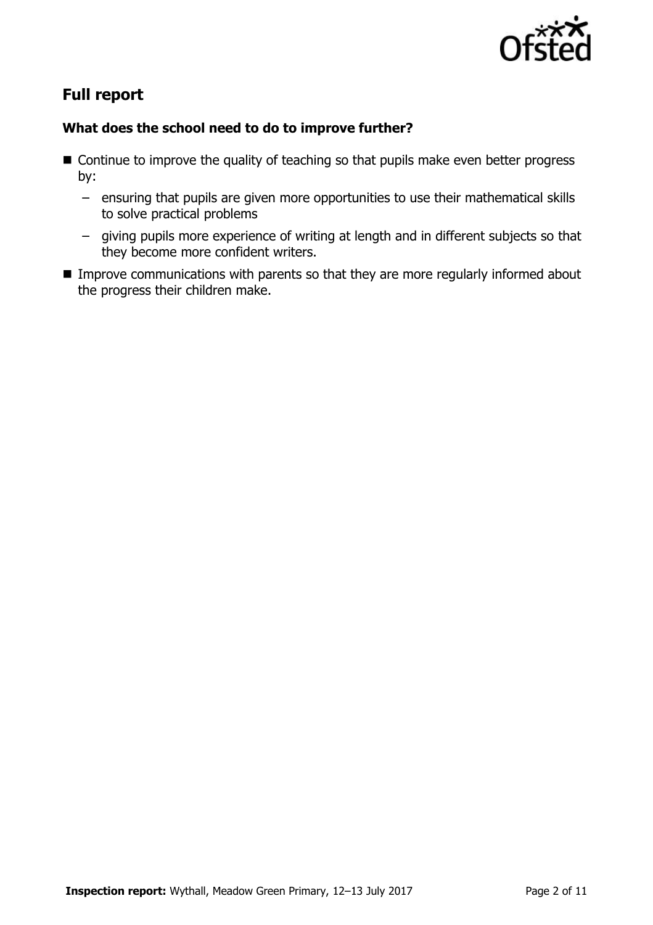

# **Full report**

### **What does the school need to do to improve further?**

- Continue to improve the quality of teaching so that pupils make even better progress by:
	- ensuring that pupils are given more opportunities to use their mathematical skills to solve practical problems
	- giving pupils more experience of writing at length and in different subjects so that they become more confident writers.
- **IMPROVE COMMUNICATIONS WITH parents so that they are more regularly informed about** the progress their children make.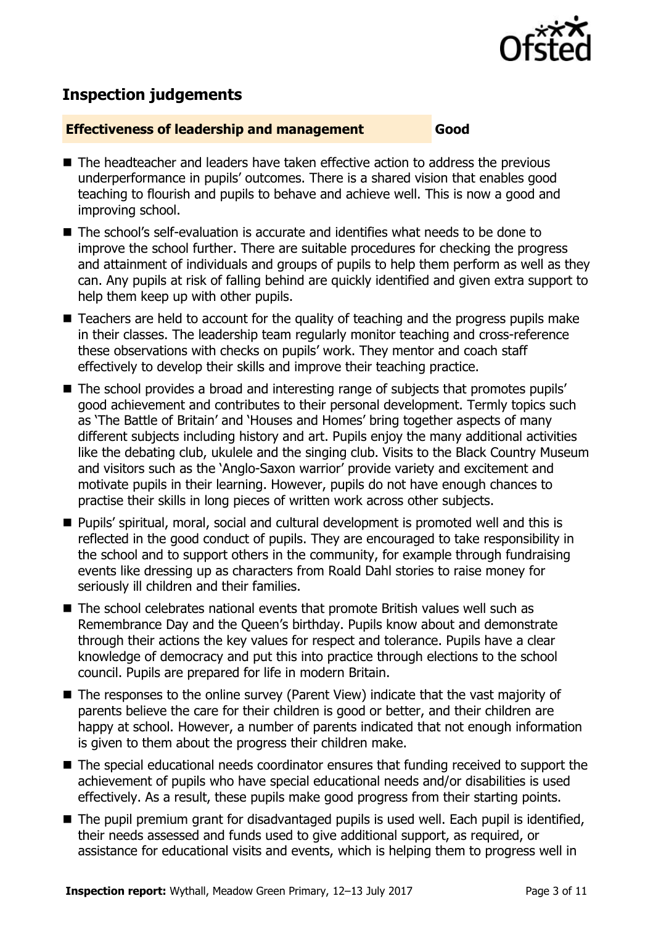

# **Inspection judgements**

#### **Effectiveness of leadership and management Good**

- The headteacher and leaders have taken effective action to address the previous underperformance in pupils' outcomes. There is a shared vision that enables good teaching to flourish and pupils to behave and achieve well. This is now a good and improving school.
- The school's self-evaluation is accurate and identifies what needs to be done to improve the school further. There are suitable procedures for checking the progress and attainment of individuals and groups of pupils to help them perform as well as they can. Any pupils at risk of falling behind are quickly identified and given extra support to help them keep up with other pupils.
- Teachers are held to account for the quality of teaching and the progress pupils make in their classes. The leadership team regularly monitor teaching and cross-reference these observations with checks on pupils' work. They mentor and coach staff effectively to develop their skills and improve their teaching practice.
- The school provides a broad and interesting range of subjects that promotes pupils' good achievement and contributes to their personal development. Termly topics such as 'The Battle of Britain' and 'Houses and Homes' bring together aspects of many different subjects including history and art. Pupils enjoy the many additional activities like the debating club, ukulele and the singing club. Visits to the Black Country Museum and visitors such as the 'Anglo-Saxon warrior' provide variety and excitement and motivate pupils in their learning. However, pupils do not have enough chances to practise their skills in long pieces of written work across other subjects.
- **Pupils' spiritual, moral, social and cultural development is promoted well and this is** reflected in the good conduct of pupils. They are encouraged to take responsibility in the school and to support others in the community, for example through fundraising events like dressing up as characters from Roald Dahl stories to raise money for seriously ill children and their families.
- The school celebrates national events that promote British values well such as Remembrance Day and the Queen's birthday. Pupils know about and demonstrate through their actions the key values for respect and tolerance. Pupils have a clear knowledge of democracy and put this into practice through elections to the school council. Pupils are prepared for life in modern Britain.
- The responses to the online survey (Parent View) indicate that the vast majority of parents believe the care for their children is good or better, and their children are happy at school. However, a number of parents indicated that not enough information is given to them about the progress their children make.
- The special educational needs coordinator ensures that funding received to support the achievement of pupils who have special educational needs and/or disabilities is used effectively. As a result, these pupils make good progress from their starting points.
- The pupil premium grant for disadvantaged pupils is used well. Each pupil is identified, their needs assessed and funds used to give additional support, as required, or assistance for educational visits and events, which is helping them to progress well in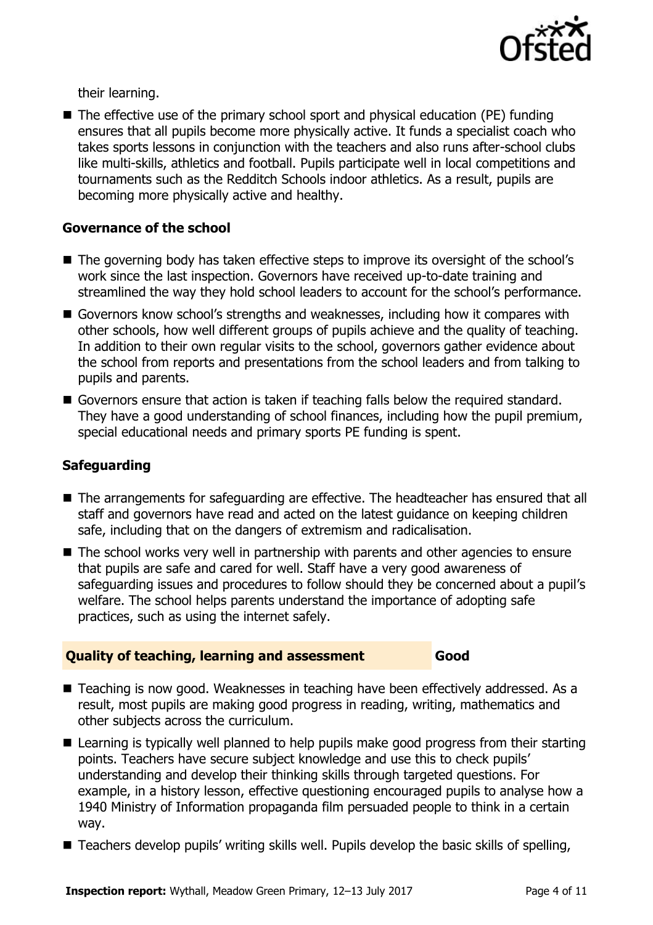

their learning.

 $\blacksquare$  The effective use of the primary school sport and physical education (PE) funding ensures that all pupils become more physically active. It funds a specialist coach who takes sports lessons in conjunction with the teachers and also runs after-school clubs like multi-skills, athletics and football. Pupils participate well in local competitions and tournaments such as the Redditch Schools indoor athletics. As a result, pupils are becoming more physically active and healthy.

#### **Governance of the school**

- The governing body has taken effective steps to improve its oversight of the school's work since the last inspection. Governors have received up-to-date training and streamlined the way they hold school leaders to account for the school's performance.
- Governors know school's strengths and weaknesses, including how it compares with other schools, how well different groups of pupils achieve and the quality of teaching. In addition to their own regular visits to the school, governors gather evidence about the school from reports and presentations from the school leaders and from talking to pupils and parents.
- Governors ensure that action is taken if teaching falls below the required standard. They have a good understanding of school finances, including how the pupil premium, special educational needs and primary sports PE funding is spent.

#### **Safeguarding**

- The arrangements for safeguarding are effective. The headteacher has ensured that all staff and governors have read and acted on the latest guidance on keeping children safe, including that on the dangers of extremism and radicalisation.
- The school works very well in partnership with parents and other agencies to ensure that pupils are safe and cared for well. Staff have a very good awareness of safeguarding issues and procedures to follow should they be concerned about a pupil's welfare. The school helps parents understand the importance of adopting safe practices, such as using the internet safely.

#### **Quality of teaching, learning and assessment Good**

- Teaching is now good. Weaknesses in teaching have been effectively addressed. As a result, most pupils are making good progress in reading, writing, mathematics and other subjects across the curriculum.
- Learning is typically well planned to help pupils make good progress from their starting points. Teachers have secure subject knowledge and use this to check pupils' understanding and develop their thinking skills through targeted questions. For example, in a history lesson, effective questioning encouraged pupils to analyse how a 1940 Ministry of Information propaganda film persuaded people to think in a certain way.
- Teachers develop pupils' writing skills well. Pupils develop the basic skills of spelling,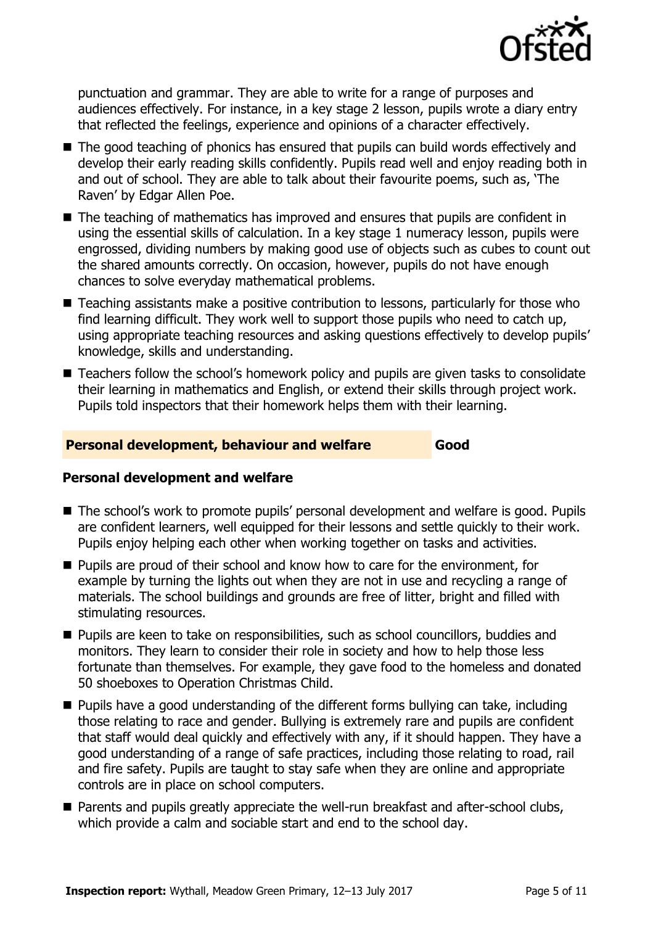

punctuation and grammar. They are able to write for a range of purposes and audiences effectively. For instance, in a key stage 2 lesson, pupils wrote a diary entry that reflected the feelings, experience and opinions of a character effectively.

- The good teaching of phonics has ensured that pupils can build words effectively and develop their early reading skills confidently. Pupils read well and enjoy reading both in and out of school. They are able to talk about their favourite poems, such as, 'The Raven' by Edgar Allen Poe.
- The teaching of mathematics has improved and ensures that pupils are confident in using the essential skills of calculation. In a key stage 1 numeracy lesson, pupils were engrossed, dividing numbers by making good use of objects such as cubes to count out the shared amounts correctly. On occasion, however, pupils do not have enough chances to solve everyday mathematical problems.
- Teaching assistants make a positive contribution to lessons, particularly for those who find learning difficult. They work well to support those pupils who need to catch up, using appropriate teaching resources and asking questions effectively to develop pupils' knowledge, skills and understanding.
- Teachers follow the school's homework policy and pupils are given tasks to consolidate their learning in mathematics and English, or extend their skills through project work. Pupils told inspectors that their homework helps them with their learning.

#### **Personal development, behaviour and welfare Good**

#### **Personal development and welfare**

- The school's work to promote pupils' personal development and welfare is good. Pupils are confident learners, well equipped for their lessons and settle quickly to their work. Pupils enjoy helping each other when working together on tasks and activities.
- **Pupils are proud of their school and know how to care for the environment, for** example by turning the lights out when they are not in use and recycling a range of materials. The school buildings and grounds are free of litter, bright and filled with stimulating resources.
- **Pupils are keen to take on responsibilities, such as school councillors, buddies and** monitors. They learn to consider their role in society and how to help those less fortunate than themselves. For example, they gave food to the homeless and donated 50 shoeboxes to Operation Christmas Child.
- Pupils have a good understanding of the different forms bullying can take, including those relating to race and gender. Bullying is extremely rare and pupils are confident that staff would deal quickly and effectively with any, if it should happen. They have a good understanding of a range of safe practices, including those relating to road, rail and fire safety. Pupils are taught to stay safe when they are online and appropriate controls are in place on school computers.
- **Parents and pupils greatly appreciate the well-run breakfast and after-school clubs,** which provide a calm and sociable start and end to the school day.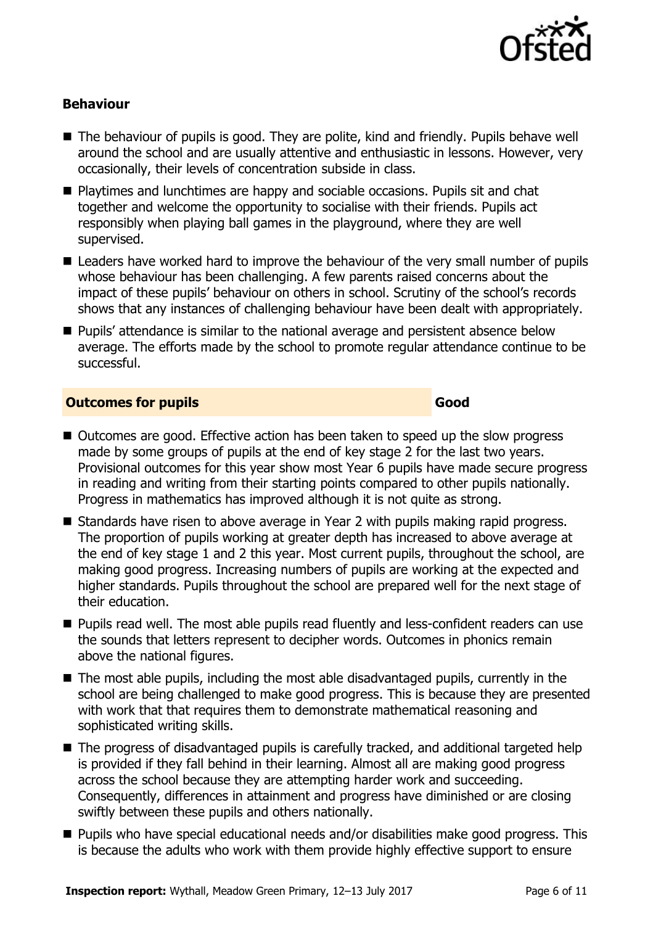

### **Behaviour**

- The behaviour of pupils is good. They are polite, kind and friendly. Pupils behave well around the school and are usually attentive and enthusiastic in lessons. However, very occasionally, their levels of concentration subside in class.
- Playtimes and lunchtimes are happy and sociable occasions. Pupils sit and chat together and welcome the opportunity to socialise with their friends. Pupils act responsibly when playing ball games in the playground, where they are well supervised.
- Leaders have worked hard to improve the behaviour of the very small number of pupils whose behaviour has been challenging. A few parents raised concerns about the impact of these pupils' behaviour on others in school. Scrutiny of the school's records shows that any instances of challenging behaviour have been dealt with appropriately.
- **Pupils'** attendance is similar to the national average and persistent absence below average. The efforts made by the school to promote regular attendance continue to be successful.

#### **Outcomes for pupils Good**

- Outcomes are good. Effective action has been taken to speed up the slow progress made by some groups of pupils at the end of key stage 2 for the last two years. Provisional outcomes for this year show most Year 6 pupils have made secure progress in reading and writing from their starting points compared to other pupils nationally. Progress in mathematics has improved although it is not quite as strong.
- Standards have risen to above average in Year 2 with pupils making rapid progress. The proportion of pupils working at greater depth has increased to above average at the end of key stage 1 and 2 this year. Most current pupils, throughout the school, are making good progress. Increasing numbers of pupils are working at the expected and higher standards. Pupils throughout the school are prepared well for the next stage of their education.
- **Pupils read well. The most able pupils read fluently and less-confident readers can use** the sounds that letters represent to decipher words. Outcomes in phonics remain above the national figures.
- The most able pupils, including the most able disadvantaged pupils, currently in the school are being challenged to make good progress. This is because they are presented with work that that requires them to demonstrate mathematical reasoning and sophisticated writing skills.
- The progress of disadvantaged pupils is carefully tracked, and additional targeted help is provided if they fall behind in their learning. Almost all are making good progress across the school because they are attempting harder work and succeeding. Consequently, differences in attainment and progress have diminished or are closing swiftly between these pupils and others nationally.
- Pupils who have special educational needs and/or disabilities make good progress. This is because the adults who work with them provide highly effective support to ensure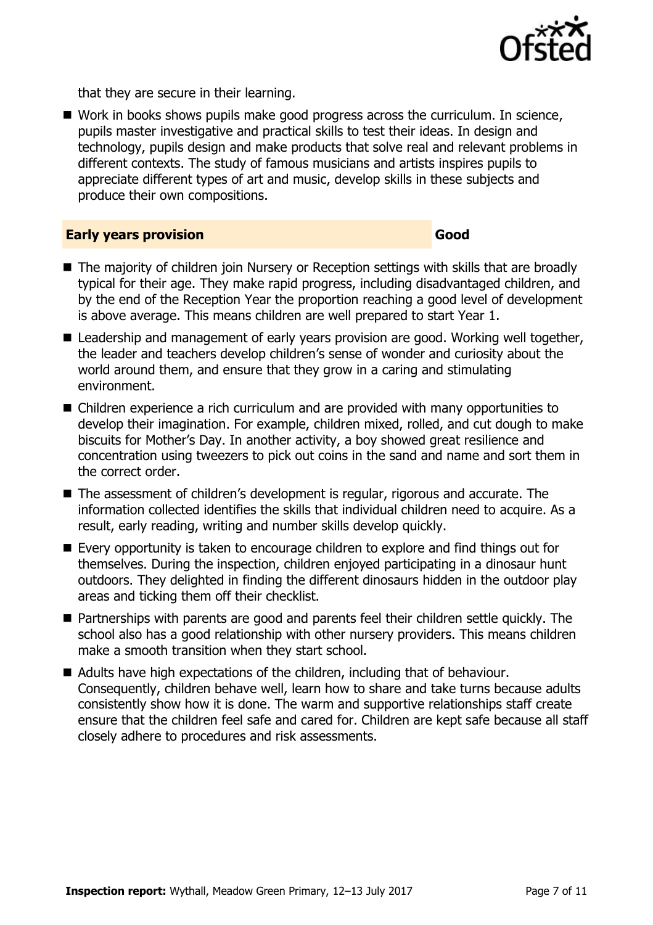

that they are secure in their learning.

■ Work in books shows pupils make good progress across the curriculum. In science, pupils master investigative and practical skills to test their ideas. In design and technology, pupils design and make products that solve real and relevant problems in different contexts. The study of famous musicians and artists inspires pupils to appreciate different types of art and music, develop skills in these subjects and produce their own compositions.

#### **Early years provision Good**

- The majority of children join Nursery or Reception settings with skills that are broadly typical for their age. They make rapid progress, including disadvantaged children, and by the end of the Reception Year the proportion reaching a good level of development is above average. This means children are well prepared to start Year 1.
- Leadership and management of early years provision are good. Working well together, the leader and teachers develop children's sense of wonder and curiosity about the world around them, and ensure that they grow in a caring and stimulating environment.
- Children experience a rich curriculum and are provided with many opportunities to develop their imagination. For example, children mixed, rolled, and cut dough to make biscuits for Mother's Day. In another activity, a boy showed great resilience and concentration using tweezers to pick out coins in the sand and name and sort them in the correct order.
- The assessment of children's development is regular, rigorous and accurate. The information collected identifies the skills that individual children need to acquire. As a result, early reading, writing and number skills develop quickly.
- Every opportunity is taken to encourage children to explore and find things out for themselves. During the inspection, children enjoyed participating in a dinosaur hunt outdoors. They delighted in finding the different dinosaurs hidden in the outdoor play areas and ticking them off their checklist.
- Partnerships with parents are good and parents feel their children settle quickly. The school also has a good relationship with other nursery providers. This means children make a smooth transition when they start school.
- Adults have high expectations of the children, including that of behaviour. Consequently, children behave well, learn how to share and take turns because adults consistently show how it is done. The warm and supportive relationships staff create ensure that the children feel safe and cared for. Children are kept safe because all staff closely adhere to procedures and risk assessments.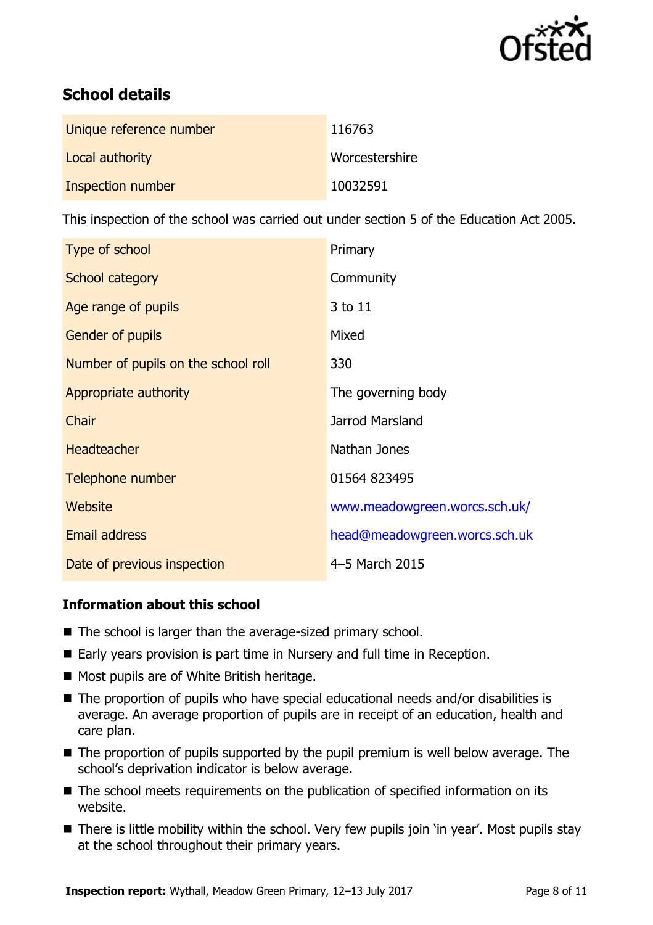

# **School details**

| Unique reference number | 116763         |
|-------------------------|----------------|
| Local authority         | Worcestershire |
| Inspection number       | 10032591       |

This inspection of the school was carried out under section 5 of the Education Act 2005.

| Type of school                      | Primary                       |
|-------------------------------------|-------------------------------|
| School category                     | Community                     |
| Age range of pupils                 | 3 to 11                       |
| <b>Gender of pupils</b>             | Mixed                         |
| Number of pupils on the school roll | 330                           |
| Appropriate authority               | The governing body            |
| Chair                               | Jarrod Marsland               |
| <b>Headteacher</b>                  | Nathan Jones                  |
| Telephone number                    | 01564 823495                  |
| Website                             | www.meadowgreen.worcs.sch.uk/ |
| <b>Email address</b>                | head@meadowgreen.worcs.sch.uk |
| Date of previous inspection         | 4-5 March 2015                |

#### **Information about this school**

- The school is larger than the average-sized primary school.
- Early years provision is part time in Nursery and full time in Reception.
- Most pupils are of White British heritage.
- The proportion of pupils who have special educational needs and/or disabilities is average. An average proportion of pupils are in receipt of an education, health and care plan.
- $\blacksquare$  The proportion of pupils supported by the pupil premium is well below average. The school's deprivation indicator is below average.
- The school meets requirements on the publication of specified information on its website.
- There is little mobility within the school. Very few pupils join 'in year'. Most pupils stay at the school throughout their primary years.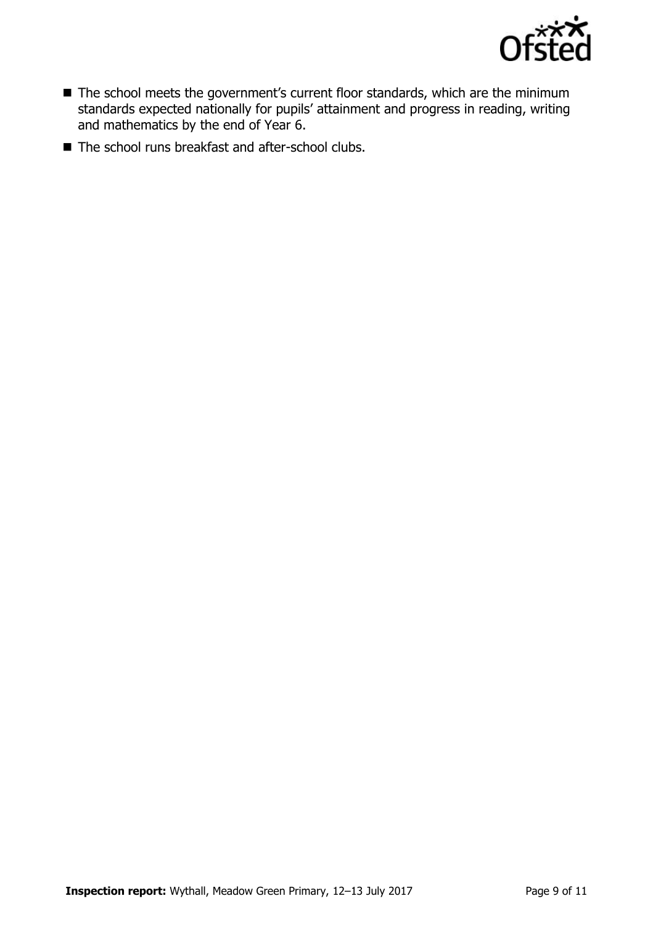

- The school meets the government's current floor standards, which are the minimum standards expected nationally for pupils' attainment and progress in reading, writing and mathematics by the end of Year 6.
- The school runs breakfast and after-school clubs.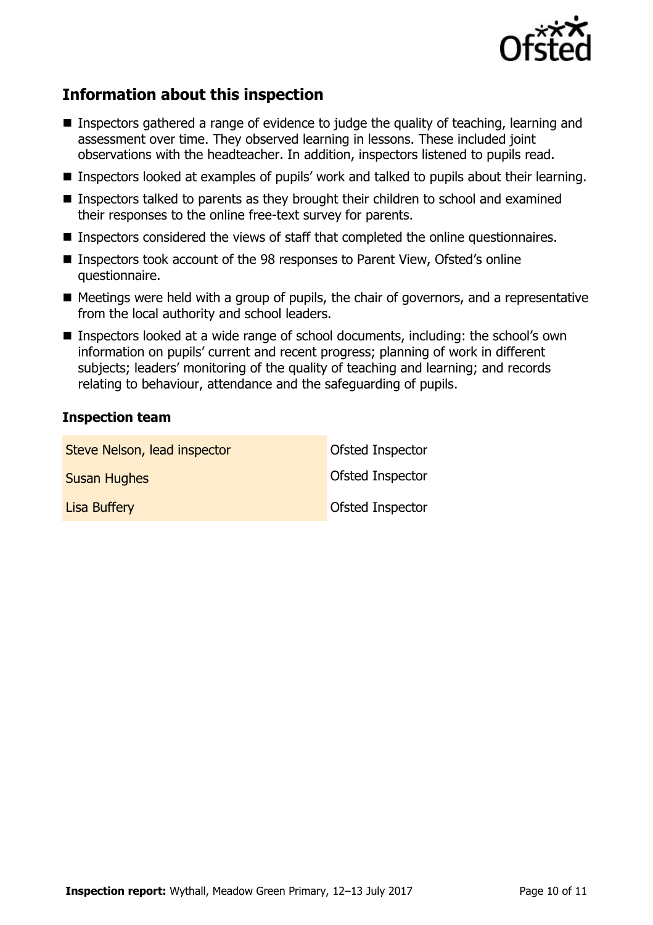

# **Information about this inspection**

- Inspectors gathered a range of evidence to judge the quality of teaching, learning and assessment over time. They observed learning in lessons. These included joint observations with the headteacher. In addition, inspectors listened to pupils read.
- Inspectors looked at examples of pupils' work and talked to pupils about their learning.
- Inspectors talked to parents as they brought their children to school and examined their responses to the online free-text survey for parents.
- Inspectors considered the views of staff that completed the online questionnaires.
- Inspectors took account of the 98 responses to Parent View, Ofsted's online questionnaire.
- $\blacksquare$  Meetings were held with a group of pupils, the chair of governors, and a representative from the local authority and school leaders.
- Inspectors looked at a wide range of school documents, including: the school's own information on pupils' current and recent progress; planning of work in different subjects; leaders' monitoring of the quality of teaching and learning; and records relating to behaviour, attendance and the safeguarding of pupils.

#### **Inspection team**

| Steve Nelson, lead inspector | <b>Ofsted Inspector</b> |
|------------------------------|-------------------------|
| <b>Susan Hughes</b>          | <b>Ofsted Inspector</b> |
| Lisa Buffery                 | <b>Ofsted Inspector</b> |